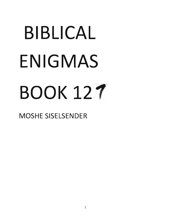# BIBLICAL ENIGMAS **BOOK 127**

*, II )1008*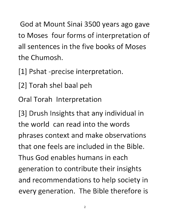God at Mount Sinai 3500 years ago gave to Moses four forms of interpretation of all sentences in the five books of Moses the Chumosh.

[1] Pshat -precise interpretation.

[2] Torah shel baal peh

Oral Torah Interpretation

[3] Drush Insights that any individual in the world can read into the words phrases context and make observations that one feels are included in the Bible. Thus God enables humans in each generation to contribute their insights and recommendations to help society in every generation. The Bible therefore is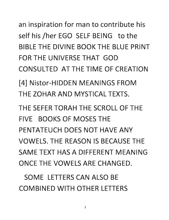## an inspiration for man to contribute his self his /her EGO SELF BEING to the BIBLE THE DIVINE BOOK THE BLUE PRINT FOR THE UNIVERSE THAT GOD CONSULTED AT THE TIME OF CREATION

[4] Nistor-HIDDEN MEANINGS FROM THE ZOHAR AND MYSTICAL TEXTS.

THE SEFER TORAH THE SCROLL OF THE FIVE BOOKS OF MOSES THE PENTATEUCH DOES NOT HAVE ANY VOWELS. THE REASON IS BECAUSE THE SAME TEXT HAS A DIFFERENT MEANING ONCE THE VOWELS ARE CHANGED.

SOME LETTERS CAN ALSO BE COMBINED WITH OTHER LETTERS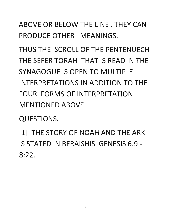ABOVE OR BELOW THE LINE. THEY CAN PRODUCE OTHER MEANINGS.

THUS THE SCROLL OF THE PENTENUECH THE SEFER TORAH THAT IS READ IN THE SYNAGOGUE IS OPEN TO MULTIPLE INTERPRETATIONS IN ADDITION TO THE FOUR FORMS OF INTERPRETATION MENTIONED ABOVE.

QUESTIONS.

[1] THE STORY OF NOAH AND THE ARK IS STATED IN BERAISHIS GENESIS 6:9 - 8:22.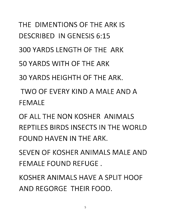# THE DIMENTIONS OF THE ARK IS DESCRIBED IN GENESIS 6:15

300 YARDS LENGTH OF THE ARK

50 YARDS WITH OF THE ARK

30 YARDS HEIGHTH OF THE ARK.

TWO OF EVERY KIND A MALE AND A FEMALE

OF ALL THE NON KOSHER ANIMALS REPTILES BIRDS INSECTS IN THE WORLD FOUND HAVEN IN THE ARK.

SEVEN OF KOSHER ANIMALS MALE AND FEMALE FOUND REFUGE.

KOSHER ANIMALS HAVE A SPLIT HOOF AND REGORGE THEIR FOOD.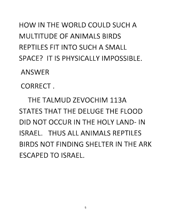### HOW IN THE WORLD COULD SUCH A MULTITUDE OF ANIMALS BIRDS REPTILES FIT INTO SUCH A SMALL SPACE? IT IS PHYSICALLY IMPOSSIBLE.

ANSWER

CORRECT.

THE TALMUD ZEVOCHIM 113A STATES THAT THE DELUGE THE FLOOD DID NOT OCCUR IN THE HOLY LAND- IN ISRAEL. THUS ALL ANIMALS REPTILES BIRDS NOT FINDING SHELTER IN THE ARK ESCAPED TO ISRAEL.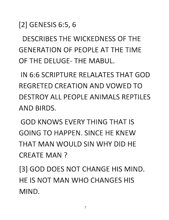[2] GENESIS 6:5, 6

DESCRIBES THE WICKEDNESS OF THE GENERATION OF PEOPLE AT THE TIME OF THE DELUGE- THE MABUL.

IN 6:6 SCRIPTURE RELALATES THAT GOD REGRETED CREATION AND VOWED TO DESTROY ALL PEOPLE ANIMALS REPTILES AND BIRDS.

GOD KNOWS EVERY THING THAT IS GOING TO HAPPEN. SINCE HE KNEW THAT MAN WOULD SIN WHY DID HE CREATE MAN?

[3] GOD DOES NOT CHANGE HIS MIND. HE IS NOT MAN WHO CHANGES HIS MIND.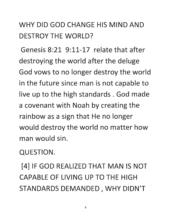#### WHY DID GOD CHANGE HIS MIND AND DESTROY THE WORLD?

Genesis 8:21 9:11-17 relate that after destroying the world after the deluge God vows to no longer destroy the world in the future since man is not capable to live up to the high standards. God made a covenant with Noah by creating the rainbow as a sign that He no longer would destroy the world no matter how man would sin.

QUESTION.

[4] IF GOD REALIZED THAT MAN IS NOT CAPABLE OF LIVING UP TO THE HIGH STANDARDS DEMANDED, WHY DIDN'T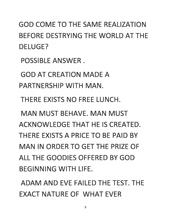GOD COME TO THE SAME REALIZATION BEFORE DESTRYING THE WORLD AT THE DELUGE?

POSSIBLE ANSWER.

GOD AT CREATION MADE A PARTNERSHIP WITH MAN.

THERE EXISTS NO FREE LUNCH.

MAN MUST BEHAVE. MAN MUST ACKNOWLEDGE THAT HE IS CREATED. THERE EXISTS A PRICE TO BE PAID BY MAN IN ORDER TO GET THE PRIZE OF ALL THE GOODIES OFFERED BY GOD BEGINNING WITH LIFE.

ADAM AND EVE FAILED THE TEST. THE EXACT NATURE OF WHAT EVER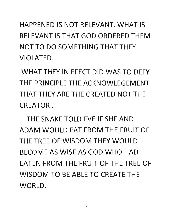HAPPENED IS NOT RELEVANT. WHAT IS RELEVANT IS THAT GOD ORDERED THEM NOT TO DO SOMETHING THAT THEY VIOLATED.

WHAT THEY IN EFECT DID WAS TO DEFY THE PRINCIPLE THE ACKNOWLEGEMENT THAT THEY ARE THE CREATED NOT THE CREATOR.

THE SNAKE TOLD EVE IF SHE AND ADAM WOULD EAT FROM THE FRUIT OF THE TREE OF WISDOM THEY WOULD BECOME AS WISE AS GOD WHO HAD EATEN FROM THE FRUIT OF THE TREE OF WISDOM TO BE ABLE TO CREATE THE WORLD.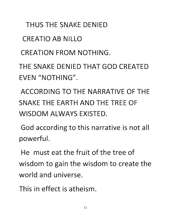THUS THE SNAKE DENIED

CREATIO AB NILLO

CREATION FROM NOTHING.

THE SNAKE DENIED THAT GOD CREATED EVEN "NOTHING".

ACCORDING TO THE NARRATIVE OF THE SNAKE THE EARTH AND THE TREE OF WISDOM ALWAYS EXISTED.

God according to this narrative is not all powerful.

He must eat the fruit of the tree of wisdom to gain the wisdom to create the world and universe.

This in effect is atheism.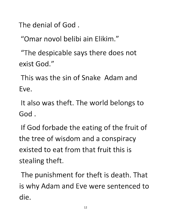The denial of God.

"Omar naval belibi ain Elikim."

"The despicable says there does not exist God."

This was the sin of Snake Adam and Eve.

It also was theft. The world belongs to God.

If God forbade the eating of the fruit of the tree of wisdom and a conspiracy existed to eat from that fruit this is stealing theft.

The punishment for theft is death. That is why Adam and Eve were sentenced to die.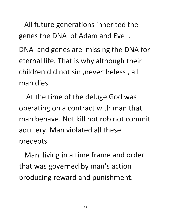All future generations inherited the genes the DNA of Adam and Eve .

DNA and genes are missing the DNA for eternal life. That is why although their children did not sin ,nevertheless, all man dies.

At the time of the deluge God was operating on a contract with man that man behave. Not kill not rob not commit adultery. Man violated all these precepts.

Man living in a time frame and order that was governed by man's action producing reward and punishment.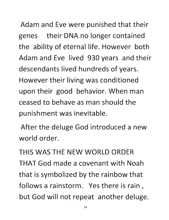Adam and Eve were punished that their genes their DNA no longer contained the ability of eternal life. However both Adam and Eve lived 930 years and their descendants lived hundreds of years. However their living was conditioned upon their good behavior. When man ceased to behave as man should the punishment was inevitable.

After the deluge God introduced a new world order.

THIS WAS THE NEW WORLD ORDER THAT God made a covenant with Noah that is symbolized by the rainbow that follows a rainstorm. Yes there is rain, but God will not repeat another deluge.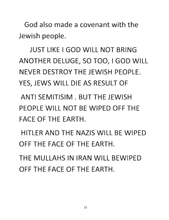God also made a covenant with the Jewish people.

JUST LIKE I GOD WILL NOT BRING ANOTHER DELUGE, SO TOO, I GOD WILL NEVER DESTROY THE JEWISH PEOPLE. YES, JEWS WILL DIE AS RESULT OF

ANTI SEMITISIM . BUT THE JEWISH PEOPLE WILL NOT BE WIPED OFF THE FACE OF THE EARTH.

HITLER AND THE NAZIS WILL BE WIPED OFF THE FACE OF THE EARTH.

THE MULLAHS IN IRAN WILL BEWIPED OFF THE FACE OF THE EARTH.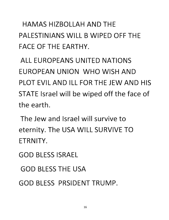HAMAS HIZBOLLAH AND THE PALESTINIANS WILL B WIPED OFF THE FACE OF THE EARTHY.

ALL EUROPEANS UNITED NATIONS EUROPEAN UNION WHO WISH AND PLOT EVIL AND ILL FOR THE JEW AND HIS STATE Israel will be wiped off the face of the earth.

The Jew and Israel will survive to eternity. The USA WILL SURVIVE TO ETRNITY.

GOD BLESS ISRAEL

GOD BLESS THE USA

GOD BLESS PRSIDENT TRUMP.